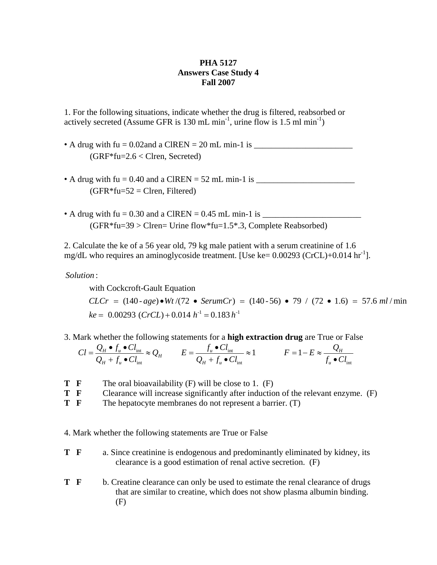## **PHA 5127 Answers Case Study 4 Fall 2007**

1. For the following situations, indicate whether the drug is filtered, reabsorbed or actively secreted (Assume GFR is 130 mL min<sup>-1</sup>, urine flow is 1.5 ml min<sup>-1</sup>)

- A drug with fu = 0.02and a ClREN = 20 mL min-1 is \_\_\_\_\_\_\_\_\_\_\_\_\_\_\_\_\_\_\_\_\_\_\_  $(GRF*fu=2.6 <$ Clren, Secreted)
- A drug with fu = 0.40 and a ClREN = 52 mL min-1 is \_\_\_\_\_\_\_\_\_\_\_\_\_\_\_\_\_\_\_\_\_\_\_  $(GFR * fu=52 = Clren, Filtered)$
- A drug with fu = 0.30 and a ClREN = 0.45 mL min-1 is \_\_\_\_\_\_\_\_\_\_\_\_\_\_\_\_\_\_\_\_\_\_\_  $(GFR * fu=39 > Clren= Urine flow * fu=1.5*.3, Complete Reabsorbed)$

2. Calculate the ke of a 56 year old, 79 kg male patient with a serum creatinine of 1.6 mg/dL who requires an aminoglycoside treatment. [Use ke=  $0.00293$  (CrCL)+0.014 hr<sup>-1</sup>].

: *Solution*

 $ke = 0.00293$  (*CrCL*) + 0.014  $h^{-1} = 0.183 h^{-1}$ with Cockcroft-Gault Equation  $CLCr = (140 \text{--} age) \cdot Wt / (72 \cdot \text{Serum}Cr) = (140 \text{--} 56) \cdot 79 / (72 \cdot 1.6) = 57.6 \text{ ml/min}$ 

3. Mark whether the following statements for a **high extraction drug** are True or False

$$
Cl = \frac{Q_H \bullet f_u \bullet Cl_{\text{int}}}{Q_H + f_u \bullet Cl_{\text{int}}} \approx Q_H \qquad \qquad E = \frac{f_u \bullet Cl_{\text{int}}}{Q_H + f_u \bullet Cl_{\text{int}}} \approx 1 \qquad \qquad F = 1 - E \approx \frac{Q_H}{f_u \bullet Cl_{\text{int}}}
$$

- **T F** The oral bioavailability (F) will be close to 1. (F)
- **T F** Clearance will increase significantly after induction of the relevant enzyme. (F)
- **T F** The hepatocyte membranes do not represent a barrier. (T)
- 4. Mark whether the following statements are True or False
- **T F** a. Since creatinine is endogenous and predominantly eliminated by kidney, its clearance is a good estimation of renal active secretion. (F)
- **T F** b. Creatine clearance can only be used to estimate the renal clearance of drugs that are similar to creatine, which does not show plasma albumin binding. (F)